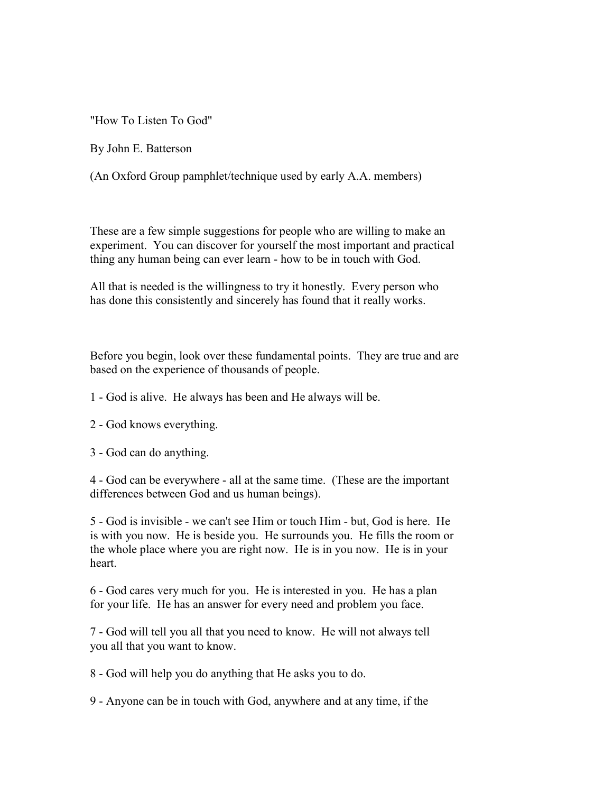"How To Listen To God"

By John E. Batterson

(An Oxford Group pamphlet/technique used by early A.A. members)

These are a few simple suggestions for people who are willing to make an experiment. You can discover for yourself the most important and practical thing any human being can ever learn - how to be in touch with God.

All that is needed is the willingness to try it honestly. Every person who has done this consistently and sincerely has found that it really works.

Before you begin, look over these fundamental points. They are true and are based on the experience of thousands of people.

1 - God is alive. He always has been and He always will be.

- 2 God knows everything.
- 3 God can do anything.

4 - God can be everywhere - all at the same time. (These are the important differences between God and us human beings).

5 - God is invisible - we can't see Him or touch Him - but, God is here. He is with you now. He is beside you. He surrounds you. He fills the room or the whole place where you are right now. He is in you now. He is in your heart.

6 - God cares very much for you. He is interested in you. He has a plan for your life. He has an answer for every need and problem you face.

7 - God will tell you all that you need to know. He will not always tell you all that you want to know.

8 - God will help you do anything that He asks you to do.

9 - Anyone can be in touch with God, anywhere and at any time, if the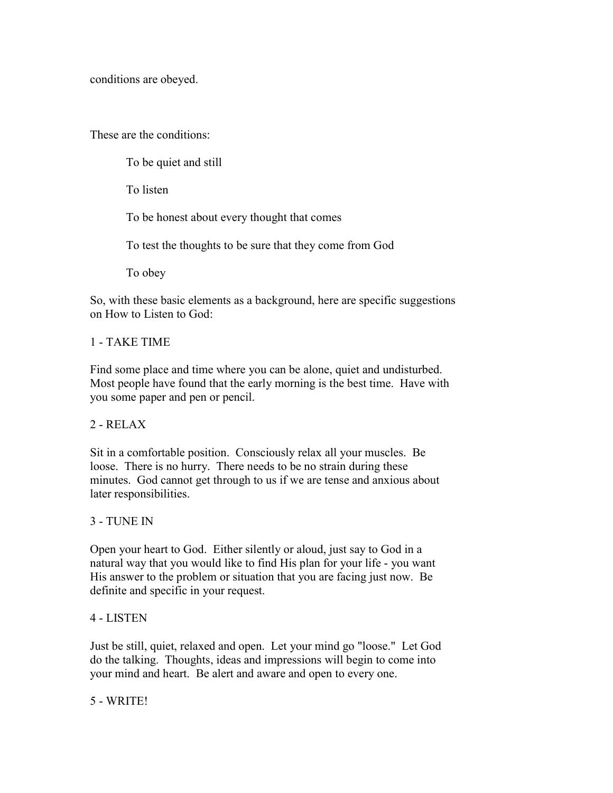conditions are obeyed.

These are the conditions:

To be quiet and still

To listen

To be honest about every thought that comes

To test the thoughts to be sure that they come from God

To obey

So, with these basic elements as a background, here are specific suggestions on How to Listen to God:

## 1 - TAKE TIME

Find some place and time where you can be alone, quiet and undisturbed. Most people have found that the early morning is the best time. Have with you some paper and pen or pencil.

## 2 - RELAX

Sit in a comfortable position. Consciously relax all your muscles. Be loose. There is no hurry. There needs to be no strain during these minutes. God cannot get through to us if we are tense and anxious about later responsibilities.

#### 3 - TUNE IN

Open your heart to God. Either silently or aloud, just say to God in a natural way that you would like to find His plan for your life - you want His answer to the problem or situation that you are facing just now. Be definite and specific in your request.

#### 4 - LISTEN

Just be still, quiet, relaxed and open. Let your mind go "loose." Let God do the talking. Thoughts, ideas and impressions will begin to come into your mind and heart. Be alert and aware and open to every one.

## 5 - WRITE!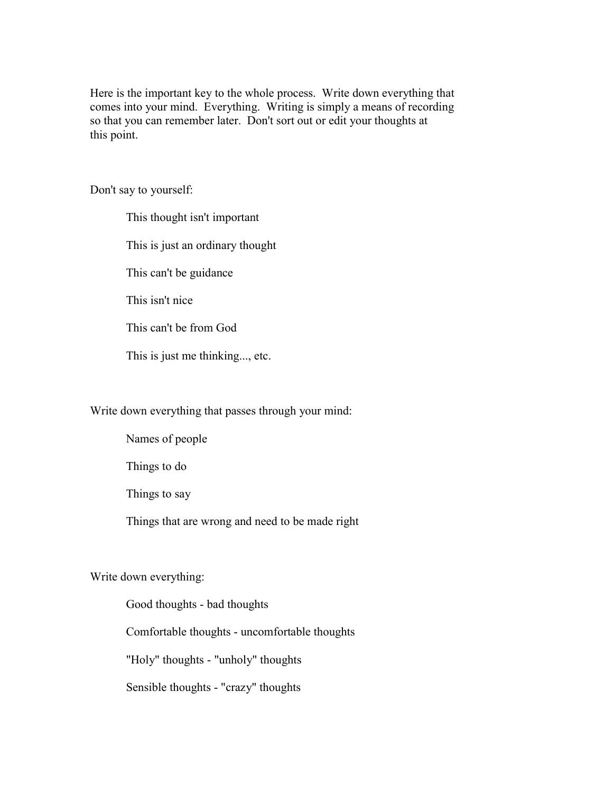Here is the important key to the whole process. Write down everything that comes into your mind. Everything. Writing is simply a means of recording so that you can remember later. Don't sort out or edit your thoughts at this point.

Don't say to yourself:

 This thought isn't important This is just an ordinary thought This can't be guidance This isn't nice This can't be from God This is just me thinking..., etc.

Write down everything that passes through your mind:

Names of people

Things to do

Things to say

Things that are wrong and need to be made right

Write down everything:

 Good thoughts - bad thoughts Comfortable thoughts - uncomfortable thoughts "Holy" thoughts - "unholy" thoughts Sensible thoughts - "crazy" thoughts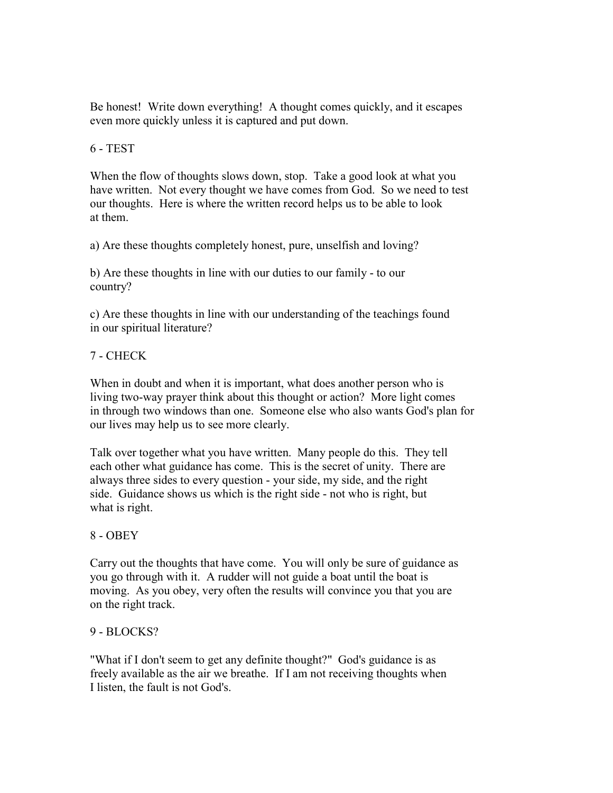Be honest! Write down everything! A thought comes quickly, and it escapes even more quickly unless it is captured and put down.

## 6 - TEST

When the flow of thoughts slows down, stop. Take a good look at what you have written. Not every thought we have comes from God. So we need to test our thoughts. Here is where the written record helps us to be able to look at them.

a) Are these thoughts completely honest, pure, unselfish and loving?

b) Are these thoughts in line with our duties to our family - to our country?

c) Are these thoughts in line with our understanding of the teachings found in our spiritual literature?

# 7 - CHECK

When in doubt and when it is important, what does another person who is living two-way prayer think about this thought or action? More light comes in through two windows than one. Someone else who also wants God's plan for our lives may help us to see more clearly.

Talk over together what you have written. Many people do this. They tell each other what guidance has come. This is the secret of unity. There are always three sides to every question - your side, my side, and the right side. Guidance shows us which is the right side - not who is right, but what is right.

# 8 - OBEY

Carry out the thoughts that have come. You will only be sure of guidance as you go through with it. A rudder will not guide a boat until the boat is moving. As you obey, very often the results will convince you that you are on the right track.

## 9 - BLOCKS?

"What if I don't seem to get any definite thought?" God's guidance is as freely available as the air we breathe. If I am not receiving thoughts when I listen, the fault is not God's.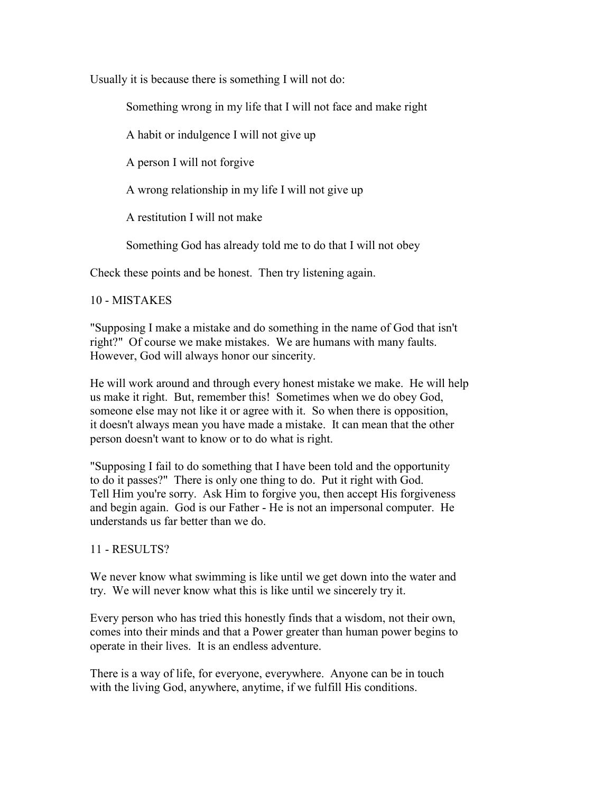Usually it is because there is something I will not do:

Something wrong in my life that I will not face and make right

A habit or indulgence I will not give up

A person I will not forgive

A wrong relationship in my life I will not give up

A restitution I will not make

Something God has already told me to do that I will not obey

Check these points and be honest. Then try listening again.

### 10 - MISTAKES

"Supposing I make a mistake and do something in the name of God that isn't right?" Of course we make mistakes. We are humans with many faults. However, God will always honor our sincerity.

He will work around and through every honest mistake we make. He will help us make it right. But, remember this! Sometimes when we do obey God, someone else may not like it or agree with it. So when there is opposition, it doesn't always mean you have made a mistake. It can mean that the other person doesn't want to know or to do what is right.

"Supposing I fail to do something that I have been told and the opportunity to do it passes?" There is only one thing to do. Put it right with God. Tell Him you're sorry. Ask Him to forgive you, then accept His forgiveness and begin again. God is our Father - He is not an impersonal computer. He understands us far better than we do.

## 11 - RESULTS?

We never know what swimming is like until we get down into the water and try. We will never know what this is like until we sincerely try it.

Every person who has tried this honestly finds that a wisdom, not their own, comes into their minds and that a Power greater than human power begins to operate in their lives. It is an endless adventure.

There is a way of life, for everyone, everywhere. Anyone can be in touch with the living God, anywhere, anytime, if we fulfill His conditions.